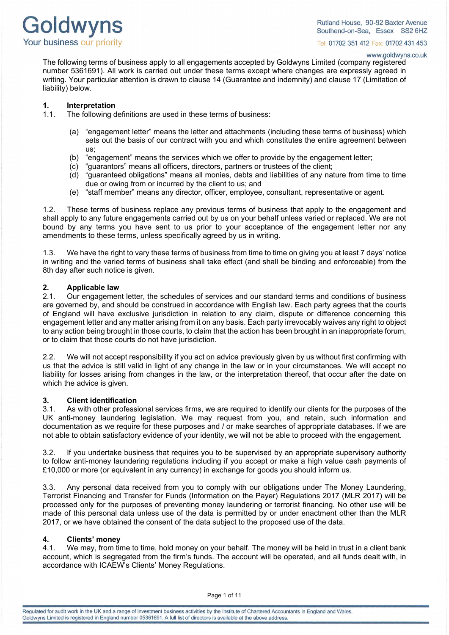

www.goldwyns.co.uk

The following terms of business apply to all engagements accepted by Goldwyns Limited (company registered number 5361691). All work is carried out under these terms except where changes are expressly agreed in writing. Your particular attention is drawn to clause 14 (Guarantee and indemnity) and clause 17 (Limitation of liability) below.

#### **1. Interpretation**

- 1.1. The following definitions are used in these terms of business:
	- (a) "engagement letter" means the letter and attachments (including these terms of business) which sets out the basis of our contract with you and which constitutes the entire agreement between us;
	- (b) "engagement" means the services which we offer to provide by the engagement letter;
	- (c) "guarantors" means all officers, directors, partners or trustees of the client;
	- (d) "guaranteed obligations" means all monies, debts and liabilities of any nature from time to time due or owing from or incurred by the client to us; and
	- (e) "staff member" means any director, officer, employee, consultant, representative or agent.

1.2. These terms of business replace any previous terms of business that apply to the engagement and shall apply to any future engagements carried out by us on your behalf unless varied or replaced. We are not bound by any terms you have sent to us prior to your acceptance of the engagement letter nor any amendments to these terms, unless specifically agreed by us in writing.

1.3. We have the right to vary these terms of business from time to time on giving you at least 7 days' notice in writing and the varied terms of business shall take effect (and shall be binding and enforceable) from the 8th day after such notice is given.

### **2. Applicable law**

2.1. Our engagement letter, the schedules of services and our standard terms and conditions of business are governed by, and should be construed in accordance with English law. Each party agrees that the courts of England will have exclusive jurisdiction in relation to any claim, dispute or difference concerning this engagement letter and any matter arising from it on any basis. Each party irrevocably waives any right to object to any action being brought in those courts, to claim that the action has been brought in an inappropriate forum, or to claim that those courts do not have jurisdiction.

2.2. We will not accept responsibility if you act on advice previously given by us without first confirming with us that the advice is still valid in light of any change in the law or in your circumstances. We will accept no liability for losses arising from changes in the law, or the interpretation thereof, that occur after the date on which the advice is given.

### **3. Client identification**

As with other professional services firms, we are required to identify our clients for the purposes of the UK anti-money laundering legislation. We may request from you, and retain, such information and documentation as we require for these purposes and / or make searches of appropriate databases. If we are not able to obtain satisfactory evidence of your identity, we will not be able to proceed with the engagement.

3.2. If you undertake business that requires you to be supervised by an appropriate supervisory authority to follow anti-money laundering regulations including if you accept or make a high value cash payments of £10,000 or more (or equivalent in any currency) in exchange for goods you should inform us.

3.3. Any personal data received from you to comply with our obligations under The Money Laundering, Terrorist Financing and Transfer for Funds (Information on the Payer) Regulations 2017 (MLR 2017) will be processed only for the purposes of preventing money laundering or terrorist financing. No other use will be made of this personal data unless use of the data is permitted by or under enactment other than the MLR 2017, or we have obtained the consent of the data subject to the proposed use of the data.

#### **4. Clients' money**

4.1. We may, from time to time, hold money on your behalf. The money will be held in trust in a client bank account, which is segregated from the firm's funds. The account will be operated, and all funds dealt with, in accordance with ICAEW's Clients' Money Regulations.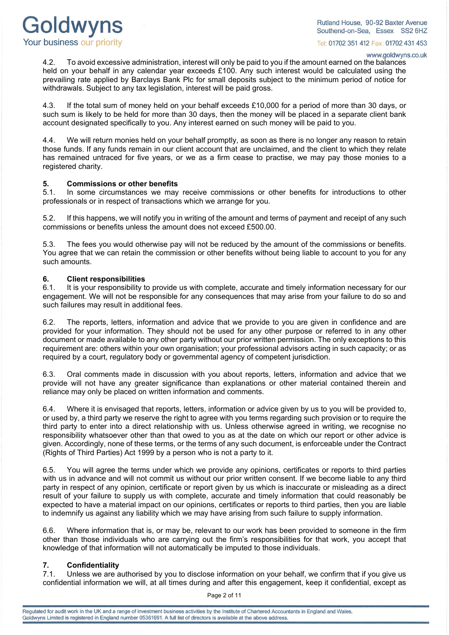Goldwyns Your business our priority

Rutland House, 90-92 Baxter Avenue Southend-on-Sea. Essex SS2 6HZ

Tel: 01702 351 412 Fax: 01702 431 453

#### www.goldwyns.co.uk

4.2. To avoid excessive administration, interest will only be paid to you if the amount earned on the balances held on your behalf in any calendar year exceeds £100. Any such interest would be calculated using the prevailing rate applied by Barclays Bank Plc for small deposits subject to the minimum period of notice for withdrawals. Subject to any tax legislation, interest will be paid gross.

4.3. If the total sum of money held on your behalf exceeds £10,000 for a period of more than 30 days, or such sum is likely to be held for more than 30 days, then the money will be placed in a separate client bank account designated specifically to you. Any interest earned on such money will be paid to you.

4.4. We will return monies held on your behalf promptly, as soon as there is no longer any reason to retain those funds. If any funds remain in our client account that are unclaimed, and the client to which they relate has remained untraced for five years, or we as a firm cease to practise, we may pay those monies to a registered charity.

#### **5. Commissions or other benefits**

5.1. In some circumstances we may receive commissions or other benefits for introductions to other professionals or in respect of transactions which we arrange for you.

5.2. If this happens, we will notify you in writing of the amount and terms of payment and receipt of any such commissions or benefits unless the amount does not exceed £500.00.

5.3. The fees you would otherwise pay will not be reduced by the amount of the commissions or benefits. You agree that we can retain the commission or other benefits without being liable to account to you for any such amounts.

### **6. Client responsibilities**

6.1. It is your responsibility to provide us with complete, accurate and timely information necessary for our engagement. We will not be responsible for any consequences that may arise from your failure to do so and such failures may result in additional fees.

6.2. The reports, letters, information and advice that we provide to you are given in confidence and are provided for your information. They should not be used for any other purpose or referred to in any other document or made available to any other party without our prior written permission. The only exceptions to this requirement are: others within your own organisation; your professional advisors acting in such capacity; or as required by a court, regulatory body or governmental agency of competent jurisdiction.

6.3. Oral comments made in discussion with you about reports, letters, information and advice that we provide will not have any greater significance than explanations or other material contained therein and reliance may only be placed on written information and comments.

6.4. Where it is envisaged that reports, letters, information or advice given by us to you will be provided to, or used by, a third party we reserve the right to agree with you terms regarding such provision or to require the third party to enter into a direct relationship with us. Unless otherwise agreed in writing, we recognise no responsibility whatsoever other than that owed to you as at the date on which our report or other advice is given. Accordingly, none of these terms, or the terms of any such document, is enforceable under the Contract (Rights of Third Parties) Act 1999 by a person who is not a party to it.

6.5. You will agree the terms under which we provide any opinions, certificates or reports to third parties with us in advance and will not commit us without our prior written consent. If we become liable to any third party in respect of any opinion, certificate or report given by us which is inaccurate or misleading as a direct result of your failure to supply us with complete, accurate and timely information that could reasonably be expected to have a material impact on our opinions, certificates or reports to third parties, then you are liable to indemnify us against any liability which we may have arising from such failure to supply information.

6.6. Where information that is, or may be, relevant to our work has been provided to someone in the firm other than those individuals who are carrying out the firm's responsibilities for that work, you accept that knowledge of that information will not automatically be imputed to those individuals.

# **7. Confidentiality**

Unless we are authorised by you to disclose information on your behalf, we confirm that if you give us confidential information we will, at all times during and after this engagement, keep it confidential, except as

Page 2 of 11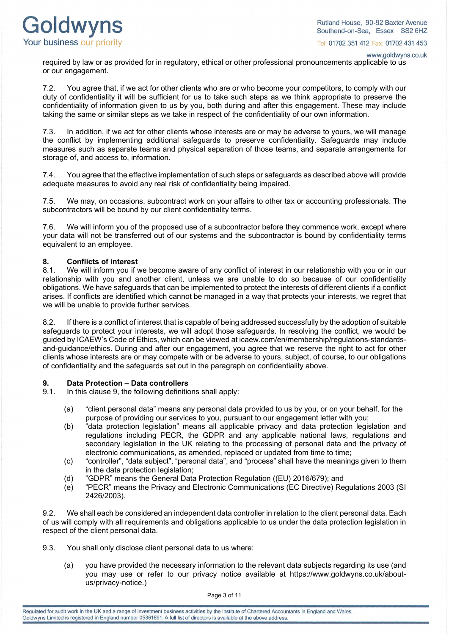

www.goldwyns.co.uk

required by law or as provided for in regulatory, ethical or other professional pronouncements applicable to us or our engagement.

7.2. You agree that, if we act for other clients who are or who become your competitors, to comply with our duty of confidentiality it will be sufficient for us to take such steps as we think appropriate to preserve the confidentiality of information given to us by you, both during and after this engagement. These may include taking the same or similar steps as we take in respect of the confidentiality of our own information.

7.3. In addition, if we act for other clients whose interests are or may be adverse to yours, we will manage the conflict by implementing additional safeguards to preserve confidentiality. Safeguards may include measures such as separate teams and physical separation of those teams, and separate arrangements for storage of, and access to, information.

7.4. You agree that the effective implementation of such steps or safeguards as described above will provide adequate measures to avoid any real risk of confidentiality being impaired.

7.5. We may, on occasions, subcontract work on your affairs to other tax or accounting professionals. The subcontractors will be bound by our client confidentiality terms.

7.6. We will inform you of the proposed use of a subcontractor before they commence work, except where your data will not be transferred out of our systems and the subcontractor is bound by confidentiality terms equivalent to an employee.

## **8. Conflicts of interest**

We will inform you if we become aware of any conflict of interest in our relationship with you or in our relationship with you and another client, unless we are unable to do so because of our confidentiality obligations. We have safeguards that can be implemented to protect the interests of different clients if a conflict arises. If conflicts are identified which cannot be managed in a way that protects your interests, we regret that we will be unable to provide further services.

8.2. If there is a conflict of interest that is capable of being addressed successfully by the adoption of suitable safeguards to protect your interests, we will adopt those safeguards. In resolving the conflict, we would be guided by ICAEW's Code of Ethics, which can be viewed a[t icaew.com/en/membership/regulations-standards](https://www.icaew.com/en/membership/regulations-standards-and-guidance/ethics)[and-guidance/ethics.](https://www.icaew.com/en/membership/regulations-standards-and-guidance/ethics) During and after our engagement, you agree that we reserve the right to act for other clients whose interests are or may compete with or be adverse to yours, subject, of course, to our obligations of confidentiality and the safeguards set out in the paragraph on confidentiality above.

## **9. Data Protection – Data controllers**

- In this clause 9, the following definitions shall apply:
	- (a) "client personal data" means any personal data provided to us by you, or on your behalf, for the purpose of providing our services to you, pursuant to our engagement letter with you;
	- (b) "data protection legislation" means all applicable privacy and data protection legislation and regulations including PECR, the GDPR and any applicable national laws, regulations and secondary legislation in the UK relating to the processing of personal data and the privacy of electronic communications, as amended, replaced or updated from time to time;
	- (c) "controller", "data subject", "personal data", and "process" shall have the meanings given to them in the data protection legislation;
	- (d) "GDPR" means the General Data Protection Regulation ((EU) 2016/679); and
	- (e) "PECR" means the Privacy and Electronic Communications (EC Directive) Regulations 2003 (SI 2426/2003).

9.2. We shall each be considered an independent data controller in relation to the client personal data. Each of us will comply with all requirements and obligations applicable to us under the data protection legislation in respect of the client personal data.

- 9.3. You shall only disclose client personal data to us where:
	- (a) you have provided the necessary information to the relevant data subjects regarding its use (and you may use or refer to our privacy notice available at [https://www.goldwyns.co.uk/about](https://www.goldwyns.co.uk/about-us/privacy-notice)[us/privacy-notice.](https://www.goldwyns.co.uk/about-us/privacy-notice))

Page 3 of 11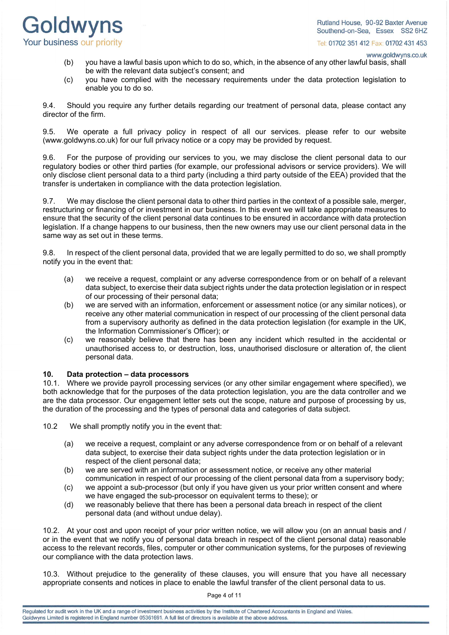Goldwyns Your business our priority

Tel: 01702 351 412 Fax: 01702 431 453

www.goldwyns.co.uk

- (b) you have a lawful basis upon which to do so, which, in the absence of any other lawful basis, shall be with the relevant data subject's consent; and
- (c) you have complied with the necessary requirements under the data protection legislation to enable you to do so.

9.4. Should you require any further details regarding our treatment of personal data, please contact any director of the firm.

9.5. We operate a full privacy policy in respect of all our services. please refer to our website (www.goldwyns.co.uk) for our full privacy notice or a copy may be provided by request.

9.6. For the purpose of providing our services to you, we may disclose the client personal data to our regulatory bodies or other third parties (for example, our professional advisors or service providers). We will only disclose client personal data to a third party (including a third party outside of the EEA) provided that the transfer is undertaken in compliance with the data protection legislation.

9.7. We may disclose the client personal data to other third parties in the context of a possible sale, merger, restructuring or financing of or investment in our business. In this event we will take appropriate measures to ensure that the security of the client personal data continues to be ensured in accordance with data protection legislation. If a change happens to our business, then the new owners may use our client personal data in the same way as set out in these terms.

9.8. In respect of the client personal data, provided that we are legally permitted to do so, we shall promptly notify you in the event that:

- (a) we receive a request, complaint or any adverse correspondence from or on behalf of a relevant data subject, to exercise their data subject rights under the data protection legislation or in respect of our processing of their personal data;
- (b) we are served with an information, enforcement or assessment notice (or any similar notices), or receive any other material communication in respect of our processing of the client personal data from a supervisory authority as defined in the data protection legislation (for example in the UK, the Information Commissioner's Officer); or
- (c) we reasonably believe that there has been any incident which resulted in the accidental or unauthorised access to, or destruction, loss, unauthorised disclosure or alteration of, the client personal data.

## **10. Data protection – data processors**

10.1. Where we provide payroll processing services (or any other similar engagement where specified), we both acknowledge that for the purposes of the data protection legislation, you are the data controller and we are the data processor. Our engagement letter sets out the scope, nature and purpose of processing by us, the duration of the processing and the types of personal data and categories of data subject.

10.2 We shall promptly notify you in the event that:

- (a) we receive a request, complaint or any adverse correspondence from or on behalf of a relevant data subject, to exercise their data subject rights under the data protection legislation or in respect of the client personal data;
- (b) we are served with an information or assessment notice, or receive any other material communication in respect of our processing of the client personal data from a supervisory body;
- (c) we appoint a sub-processor (but only if you have given us your prior written consent and where we have engaged the sub-processor on equivalent terms to these); or
- (d) we reasonably believe that there has been a personal data breach in respect of the client personal data (and without undue delay).

10.2. At your cost and upon receipt of your prior written notice, we will allow you (on an annual basis and / or in the event that we notify you of personal data breach in respect of the client personal data) reasonable access to the relevant records, files, computer or other communication systems, for the purposes of reviewing our compliance with the data protection laws.

10.3. Without prejudice to the generality of these clauses, you will ensure that you have all necessary appropriate consents and notices in place to enable the lawful transfer of the client personal data to us.

Page 4 of 11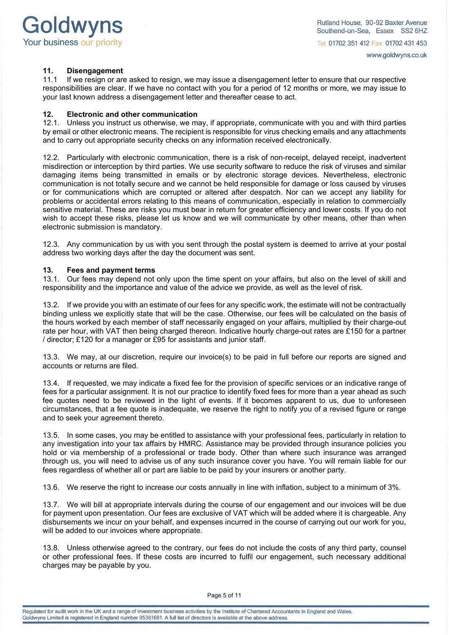

## **11. Disengagement**

If we resign or are asked to resign, we may issue a disengagement letter to ensure that our respective responsibilities are clear. If we have no contact with you for a period of 12 months or more, we may issue to your last known address a disengagement letter and thereafter cease to act.

#### **12. Electronic and other communication**

12.1. Unless you instruct us otherwise, we may, if appropriate, communicate with you and with third parties by email or other electronic means. The recipient is responsible for virus checking emails and any attachments and to carry out appropriate security checks on any information received electronically.

12.2. Particularly with electronic communication, there is a risk of non-receipt, delayed receipt, inadvertent misdirection or interception by third parties. We use security software to reduce the risk of viruses and similar damaging items being transmitted in emails or by electronic storage devices. Nevertheless, electronic communication is not totally secure and we cannot be held responsible for damage or loss caused by viruses or for communications which are corrupted or altered after despatch. Nor can we accept any liability for problems or accidental errors relating to this means of communication, especially in relation to commercially sensitive material. These are risks you must bear in return for greater efficiency and lower costs. If you do not wish to accept these risks, please let us know and we will communicate by other means, other than when electronic submission is mandatory.

12.3. Any communication by us with you sent through the postal system is deemed to arrive at your postal address two working days after the day the document was sent.

## **13. Fees and payment terms**

Our fees may depend not only upon the time spent on your affairs, but also on the level of skill and responsibility and the importance and value of the advice we provide, as well as the level of risk.

13.2. If we provide you with an estimate of our fees for any specific work, the estimate will not be contractually binding unless we explicitly state that will be the case. Otherwise, our fees will be calculated on the basis of the hours worked by each member of staff necessarily engaged on your affairs, multiplied by their charge-out rate per hour, with VAT then being charged thereon. Indicative hourly charge-out rates are £150 for a partner / director; £120 for a manager or £95 for assistants and junior staff.

13.3. We may, at our discretion, require our invoice(s) to be paid in full before our reports are signed and accounts or returns are filed.

13.4. If requested, we may indicate a fixed fee for the provision of specific services or an indicative range of fees for a particular assignment. It is not our practice to identify fixed fees for more than a year ahead as such fee quotes need to be reviewed in the light of events. If it becomes apparent to us, due to unforeseen circumstances, that a fee quote is inadequate, we reserve the right to notify you of a revised figure or range and to seek your agreement thereto.

13.5. In some cases, you may be entitled to assistance with your professional fees, particularly in relation to any investigation into your tax affairs by HMRC. Assistance may be provided through insurance policies you hold or via membership of a professional or trade body. Other than where such insurance was arranged through us, you will need to advise us of any such insurance cover you have. You will remain liable for our fees regardless of whether all or part are liable to be paid by your insurers or another party.

13.6. We reserve the right to increase our costs annually in line with inflation, subject to a minimum of 3%.

13.7. We will bill at appropriate intervals during the course of our engagement and our invoices will be due for payment upon presentation. Our fees are exclusive of VAT which will be added where it is chargeable. Any disbursements we incur on your behalf, and expenses incurred in the course of carrying out our work for you, will be added to our invoices where appropriate.

13.8. Unless otherwise agreed to the contrary, our fees do not include the costs of any third party, counsel or other professional fees. If these costs are incurred to fulfil our engagement, such necessary additional charges may be payable by you.

Page 5 of 11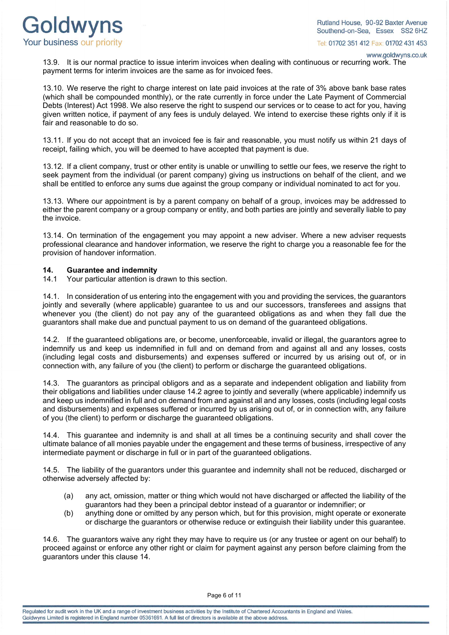

www.goldwyns.co.uk

13.9. It is our normal practice to issue interim invoices when dealing with continuous or recurring work. The payment terms for interim invoices are the same as for invoiced fees.

13.10. We reserve the right to charge interest on late paid invoices at the rate of 3% above bank base rates (which shall be compounded monthly), or the rate currently in force under the Late Payment of Commercial Debts (Interest) Act 1998. We also reserve the right to suspend our services or to cease to act for you, having given written notice, if payment of any fees is unduly delayed. We intend to exercise these rights only if it is fair and reasonable to do so.

13.11. If you do not accept that an invoiced fee is fair and reasonable, you must notify us within 21 days of receipt, failing which, you will be deemed to have accepted that payment is due.

13.12. If a client company, trust or other entity is unable or unwilling to settle our fees, we reserve the right to seek payment from the individual (or parent company) giving us instructions on behalf of the client, and we shall be entitled to enforce any sums due against the group company or individual nominated to act for you.

13.13. Where our appointment is by a parent company on behalf of a group, invoices may be addressed to either the parent company or a group company or entity, and both parties are jointly and severally liable to pay the invoice.

13.14. On termination of the engagement you may appoint a new adviser. Where a new adviser requests professional clearance and handover information, we reserve the right to charge you a reasonable fee for the provision of handover information.

# **14. Guarantee and indemnity**

Your particular attention is drawn to this section.

14.1. In consideration of us entering into the engagement with you and providing the services, the guarantors jointly and severally (where applicable) guarantee to us and our successors, transferees and assigns that whenever you (the client) do not pay any of the guaranteed obligations as and when they fall due the guarantors shall make due and punctual payment to us on demand of the guaranteed obligations.

14.2. If the guaranteed obligations are, or become, unenforceable, invalid or illegal, the guarantors agree to indemnify us and keep us indemnified in full and on demand from and against all and any losses, costs (including legal costs and disbursements) and expenses suffered or incurred by us arising out of, or in connection with, any failure of you (the client) to perform or discharge the guaranteed obligations.

14.3. The guarantors as principal obligors and as a separate and independent obligation and liability from their obligations and liabilities under clause 14.2 agree to jointly and severally (where applicable) indemnify us and keep us indemnified in full and on demand from and against all and any losses, costs (including legal costs and disbursements) and expenses suffered or incurred by us arising out of, or in connection with, any failure of you (the client) to perform or discharge the guaranteed obligations.

14.4. This guarantee and indemnity is and shall at all times be a continuing security and shall cover the ultimate balance of all monies payable under the engagement and these terms of business, irrespective of any intermediate payment or discharge in full or in part of the guaranteed obligations.

14.5. The liability of the guarantors under this guarantee and indemnity shall not be reduced, discharged or otherwise adversely affected by:

- (a) any act, omission, matter or thing which would not have discharged or affected the liability of the guarantors had they been a principal debtor instead of a guarantor or indemnifier; or
- (b) anything done or omitted by any person which, but for this provision, might operate or exonerate or discharge the guarantors or otherwise reduce or extinguish their liability under this guarantee.

14.6. The guarantors waive any right they may have to require us (or any trustee or agent on our behalf) to proceed against or enforce any other right or claim for payment against any person before claiming from the guarantors under this clause 14.

Page 6 of 11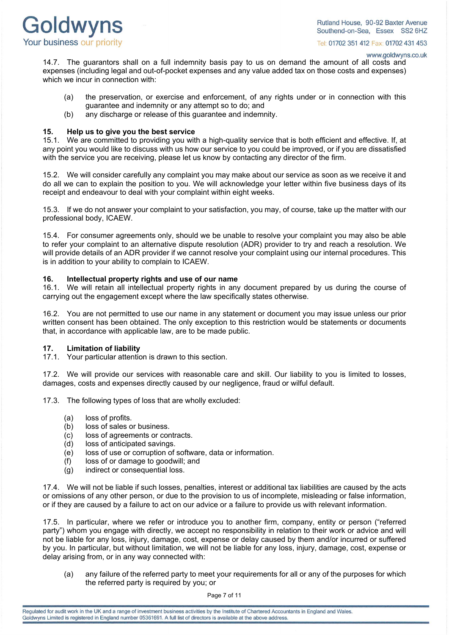

www.goldwyns.co.uk

14.7. The guarantors shall on a full indemnity basis pay to us on demand the amount of all costs and expenses (including legal and out-of-pocket expenses and any value added tax on those costs and expenses) which we incur in connection with:

- (a) the preservation, or exercise and enforcement, of any rights under or in connection with this guarantee and indemnity or any attempt so to do; and
- (b) any discharge or release of this guarantee and indemnity.

#### **15. Help us to give you the best service**

15.1. We are committed to providing you with a high-quality service that is both efficient and effective. If, at any point you would like to discuss with us how our service to you could be improved, or if you are dissatisfied with the service you are receiving, please let us know by contacting any director of the firm.

15.2. We will consider carefully any complaint you may make about our service as soon as we receive it and do all we can to explain the position to you. We will acknowledge your letter within five business days of its receipt and endeavour to deal with your complaint within eight weeks.

15.3. If we do not answer your complaint to your satisfaction, you may, of course, take up the matter with our professional body, ICAEW.

15.4. For consumer agreements only, should we be unable to resolve your complaint you may also be able to refer your complaint to an alternative dispute resolution (ADR) provider to try and reach a resolution. We will provide details of an ADR provider if we cannot resolve your complaint using our internal procedures. This is in addition to your ability to complain to ICAEW.

#### **16. Intellectual property rights and use of our name**

16.1. We will retain all intellectual property rights in any document prepared by us during the course of carrying out the engagement except where the law specifically states otherwise.

16.2. You are not permitted to use our name in any statement or document you may issue unless our prior written consent has been obtained. The only exception to this restriction would be statements or documents that, in accordance with applicable law, are to be made public.

#### **17. Limitation of liability**

17.1. Your particular attention is drawn to this section.

17.2. We will provide our services with reasonable care and skill. Our liability to you is limited to losses, damages, costs and expenses directly caused by our negligence, fraud or wilful default.

17.3. The following types of loss that are wholly excluded:

- (a) loss of profits.
- (b) loss of sales or business.
- (c) loss of agreements or contracts.
- (d) loss of anticipated savings.
- (e) loss of use or corruption of software, data or information.
- (f) loss of or damage to goodwill; and
- (g) indirect or consequential loss.

17.4. We will not be liable if such losses, penalties, interest or additional tax liabilities are caused by the acts or omissions of any other person, or due to the provision to us of incomplete, misleading or false information, or if they are caused by a failure to act on our advice or a failure to provide us with relevant information.

17.5. In particular, where we refer or introduce you to another firm, company, entity or person ("referred party") whom you engage with directly, we accept no responsibility in relation to their work or advice and will not be liable for any loss, injury, damage, cost, expense or delay caused by them and/or incurred or suffered by you. In particular, but without limitation, we will not be liable for any loss, injury, damage, cost, expense or delay arising from, or in any way connected with:

(a) any failure of the referred party to meet your requirements for all or any of the purposes for which the referred party is required by you; or

Page 7 of 11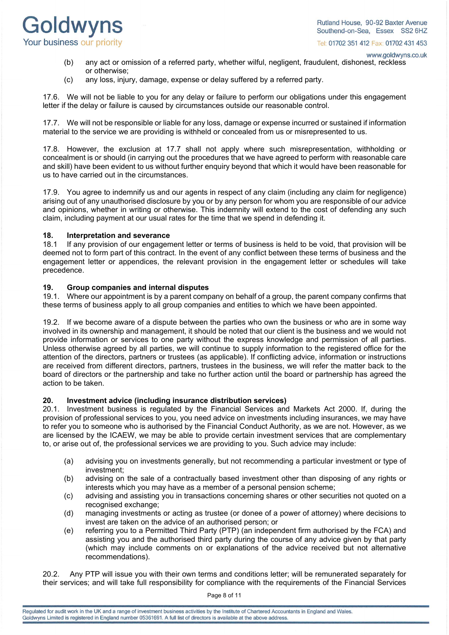

www.goldwyns.co.uk

- (b) any act or omission of a referred party, whether wilful, negligent, fraudulent, dishonest, reckless or otherwise;
- (c) any loss, injury, damage, expense or delay suffered by a referred party.

17.6. We will not be liable to you for any delay or failure to perform our obligations under this engagement letter if the delay or failure is caused by circumstances outside our reasonable control.

17.7. We will not be responsible or liable for any loss, damage or expense incurred or sustained if information material to the service we are providing is withheld or concealed from us or misrepresented to us.

17.8. However, the exclusion at 17.7 shall not apply where such misrepresentation, withholding or concealment is or should (in carrying out the procedures that we have agreed to perform with reasonable care and skill) have been evident to us without further enquiry beyond that which it would have been reasonable for us to have carried out in the circumstances.

17.9. You agree to indemnify us and our agents in respect of any claim (including any claim for negligence) arising out of any unauthorised disclosure by you or by any person for whom you are responsible of our advice and opinions, whether in writing or otherwise. This indemnity will extend to the cost of defending any such claim, including payment at our usual rates for the time that we spend in defending it.

## **18. Interpretation and severance**<br>**18.1** If any provision of our engagen

If any provision of our engagement letter or terms of business is held to be void, that provision will be deemed not to form part of this contract. In the event of any conflict between these terms of business and the engagement letter or appendices, the relevant provision in the engagement letter or schedules will take precedence.

#### **19. Group companies and internal disputes**

19.1. Where our appointment is by a parent company on behalf of a group, the parent company confirms that these terms of business apply to all group companies and entities to which we have been appointed.

19.2. If we become aware of a dispute between the parties who own the business or who are in some way involved in its ownership and management, it should be noted that our client is the business and we would not provide information or services to one party without the express knowledge and permission of all parties. Unless otherwise agreed by all parties, we will continue to supply information to the registered office for the attention of the directors, partners or trustees (as applicable). If conflicting advice, information or instructions are received from different directors, partners, trustees in the business, we will refer the matter back to the board of directors or the partnership and take no further action until the board or partnership has agreed the action to be taken.

# **20. Investment advice (including insurance distribution services)**

20.1. Investment business is regulated by the Financial Services and Markets Act 2000. If, during the provision of professional services to you, you need advice on investments including insurances, we may have to refer you to someone who is authorised by the Financial Conduct Authority, as we are not. However, as we are licensed by the ICAEW, we may be able to provide certain investment services that are complementary to, or arise out of, the professional services we are providing to you. Such advice may include:

- (a) advising you on investments generally, but not recommending a particular investment or type of investment;
- (b) advising on the sale of a contractually based investment other than disposing of any rights or interests which you may have as a member of a personal pension scheme;
- (c) advising and assisting you in transactions concerning shares or other securities not quoted on a recognised exchange;
- (d) managing investments or acting as trustee (or donee of a power of attorney) where decisions to invest are taken on the advice of an authorised person; or
- (e) referring you to a Permitted Third Party (PTP) (an independent firm authorised by the FCA) and assisting you and the authorised third party during the course of any advice given by that party (which may include comments on or explanations of the advice received but not alternative recommendations).

20.2. Any PTP will issue you with their own terms and conditions letter; will be remunerated separately for their services; and will take full responsibility for compliance with the requirements of the Financial Services

Page 8 of 11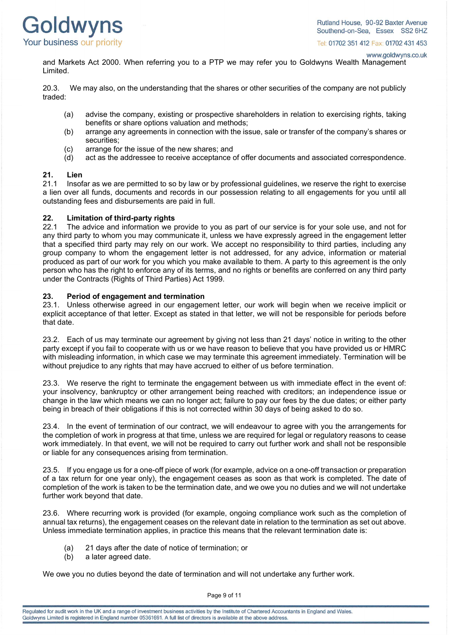

www.goldwyns.co.uk

and Markets Act 2000. When referring you to a PTP we may refer you to Goldwyns Wealth Management Limited.

20.3. We may also, on the understanding that the shares or other securities of the company are not publicly traded:

- (a) advise the company, existing or prospective shareholders in relation to exercising rights, taking benefits or share options valuation and methods;
- (b) arrange any agreements in connection with the issue, sale or transfer of the company's shares or securities;
- (c) arrange for the issue of the new shares; and
- (d) act as the addressee to receive acceptance of offer documents and associated correspondence.

### **21. Lien**

21.1 Insofar as we are permitted to so by law or by professional guidelines, we reserve the right to exercise a lien over all funds, documents and records in our possession relating to all engagements for you until all outstanding fees and disbursements are paid in full.

## **22. Limitation of third-party rights**

The advice and information we provide to you as part of our service is for your sole use, and not for any third party to whom you may communicate it, unless we have expressly agreed in the engagement letter that a specified third party may rely on our work. We accept no responsibility to third parties, including any group company to whom the engagement letter is not addressed, for any advice, information or material produced as part of our work for you which you make available to them. A party to this agreement is the only person who has the right to enforce any of its terms, and no rights or benefits are conferred on any third party under the Contracts (Rights of Third Parties) Act 1999.

### **23. Period of engagement and termination**

23.1. Unless otherwise agreed in our engagement letter, our work will begin when we receive implicit or explicit acceptance of that letter. Except as stated in that letter, we will not be responsible for periods before that date.

23.2. Each of us may terminate our agreement by giving not less than 21 days' notice in writing to the other party except if you fail to cooperate with us or we have reason to believe that you have provided us or HMRC with misleading information, in which case we may terminate this agreement immediately. Termination will be without prejudice to any rights that may have accrued to either of us before termination.

23.3. We reserve the right to terminate the engagement between us with immediate effect in the event of: your insolvency, bankruptcy or other arrangement being reached with creditors; an independence issue or change in the law which means we can no longer act; failure to pay our fees by the due dates; or either party being in breach of their obligations if this is not corrected within 30 days of being asked to do so.

23.4. In the event of termination of our contract, we will endeavour to agree with you the arrangements for the completion of work in progress at that time, unless we are required for legal or regulatory reasons to cease work immediately. In that event, we will not be required to carry out further work and shall not be responsible or liable for any consequences arising from termination.

23.5. If you engage us for a one-off piece of work (for example, advice on a one-off transaction or preparation of a tax return for one year only), the engagement ceases as soon as that work is completed. The date of completion of the work is taken to be the termination date, and we owe you no duties and we will not undertake further work beyond that date.

23.6. Where recurring work is provided (for example, ongoing compliance work such as the completion of annual tax returns), the engagement ceases on the relevant date in relation to the termination as set out above. Unless immediate termination applies, in practice this means that the relevant termination date is:

- (a) 21 days after the date of notice of termination; or
- (b) a later agreed date.

We owe you no duties beyond the date of termination and will not undertake any further work.

Page 9 of 11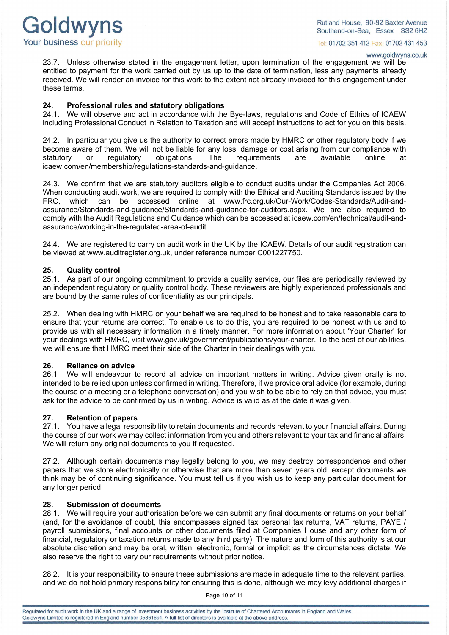

www.goldwyns.co.uk

23.7. Unless otherwise stated in the engagement letter, upon termination of the engagement we will be entitled to payment for the work carried out by us up to the date of termination, less any payments already received. We will render an invoice for this work to the extent not already invoiced for this engagement under these terms.

#### **24. Professional rules and statutory obligations**

24.1. We will observe and act in accordance with the Bye-laws, regulations and Code of Ethics of ICAEW including Professional Conduct in Relation to Taxation and will accept instructions to act for you on this basis.

24.2. In particular you give us the authority to correct errors made by HMRC or other regulatory body if we become aware of them. We will not be liable for any loss, damage or cost arising from our compliance with statutory or requlatory obligations. The requirements are available online at statutory or regulatory obligations. The requirements are available online at [icaew.com/en/membership/regulations-standards-and-guidance.](http://www.icaew.com/en/membership/regulations-standards-and-guidance)

24.3. We confirm that we are statutory auditors eligible to conduct audits under the Companies Act 2006. When conducting audit work, we are required to comply with the Ethical and Auditing Standards issued by the FRC, which can be accessed online at [www.frc.org.uk/Our-Work/Codes-Standards/Audit-and](http://www.frc.org.uk/Our-Work/Codes-Standards/Audit-and-assurance/Standards-and-guidance/Standards-and-guidance-for-auditors.aspx)[assurance/Standards-and-guidance/Standards-and-guidance-for-auditors.aspx.](http://www.frc.org.uk/Our-Work/Codes-Standards/Audit-and-assurance/Standards-and-guidance/Standards-and-guidance-for-auditors.aspx) We are also required to comply with the Audit Regulations and Guidance which can be accessed a[t icaew.com/en/technical/audit-and](http://www.icaew.com/en/technical/audit-and-assurance/working-in-the-regulated-area-of-audit)[assurance/working-in-the-regulated-area-of-audit.](http://www.icaew.com/en/technical/audit-and-assurance/working-in-the-regulated-area-of-audit)

24.4. We are registered to carry on audit work in the UK by the ICAEW. Details of our audit registration can be viewed at www.auditregister.org.uk, under reference number C001227750.

## **25. Quality control**

As part of our ongoing commitment to provide a quality service, our files are periodically reviewed by an independent regulatory or quality control body. These reviewers are highly experienced professionals and are bound by the same rules of confidentiality as our principals.

25.2. When dealing with HMRC on your behalf we are required to be honest and to take reasonable care to ensure that your returns are correct. To enable us to do this, you are required to be honest with us and to provide us with all necessary information in a timely manner. For more information about 'Your Charter' for your dealings with HMRC, visit [www.gov.uk/government/publications/your-charter.](http://www.gov.uk/government/publications/your-charter) To the best of our abilities, we will ensure that HMRC meet their side of the Charter in their dealings with you.

### **26. Reliance on advice**

We will endeavour to record all advice on important matters in writing. Advice given orally is not intended to be relied upon unless confirmed in writing. Therefore, if we provide oral advice (for example, during the course of a meeting or a telephone conversation) and you wish to be able to rely on that advice, you must ask for the advice to be confirmed by us in writing. Advice is valid as at the date it was given.

#### **27. Retention of papers**

27.1. You have a legal responsibility to retain documents and records relevant to your financial affairs. During the course of our work we may collect information from you and others relevant to your tax and financial affairs. We will return any original documents to you if requested.

27.2. Although certain documents may legally belong to you, we may destroy correspondence and other papers that we store electronically or otherwise that are more than seven years old, except documents we think may be of continuing significance. You must tell us if you wish us to keep any particular document for any longer period.

#### **28. Submission of documents**

28.1. We will require your authorisation before we can submit any final documents or returns on your behalf (and, for the avoidance of doubt, this encompasses signed tax personal tax returns, VAT returns, PAYE / payroll submissions, final accounts or other documents filed at Companies House and any other form of financial, regulatory or taxation returns made to any third party). The nature and form of this authority is at our absolute discretion and may be oral, written, electronic, formal or implicit as the circumstances dictate. We also reserve the right to vary our requirements without prior notice.

28.2. It is your responsibility to ensure these submissions are made in adequate time to the relevant parties, and we do not hold primary responsibility for ensuring this is done, although we may levy additional charges if

Page 10 of 11